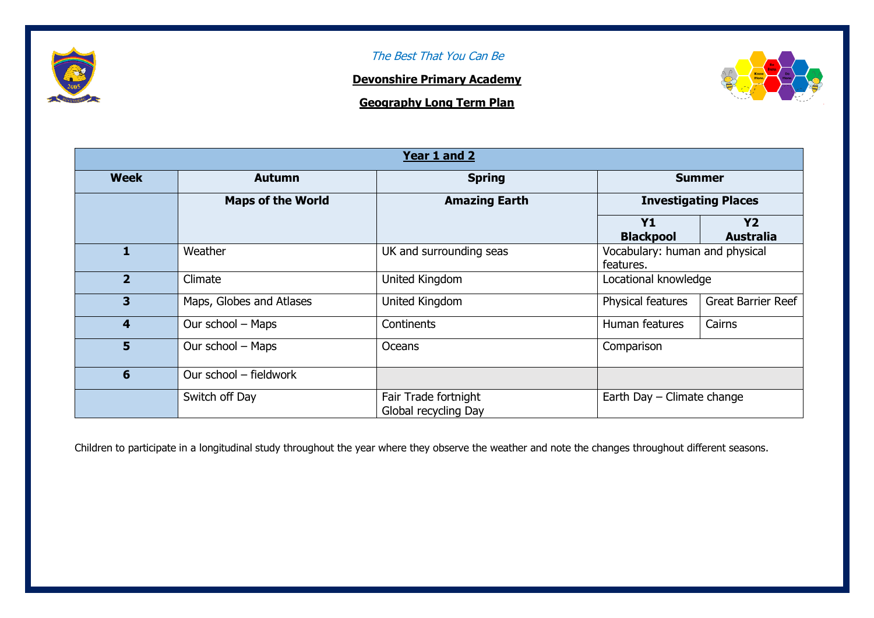

## The Best That You Can Be

## **Devonshire Primary Academy**

**Geography Long Term Plan**



| Year 1 and 2            |                          |                                              |                                             |                               |  |  |  |
|-------------------------|--------------------------|----------------------------------------------|---------------------------------------------|-------------------------------|--|--|--|
| <b>Week</b>             | <b>Autumn</b>            | <b>Spring</b>                                | <b>Summer</b>                               |                               |  |  |  |
|                         | <b>Maps of the World</b> | <b>Amazing Earth</b>                         | <b>Investigating Places</b>                 |                               |  |  |  |
|                         |                          |                                              | <b>Y1</b><br><b>Blackpool</b>               | <b>Y2</b><br><b>Australia</b> |  |  |  |
|                         | Weather                  | UK and surrounding seas                      | Vocabulary: human and physical<br>features. |                               |  |  |  |
| $\mathbf{2}$            | Climate                  | United Kingdom                               | Locational knowledge                        |                               |  |  |  |
| 3                       | Maps, Globes and Atlases | United Kingdom                               | Physical features                           | <b>Great Barrier Reef</b>     |  |  |  |
| $\overline{\mathbf{4}}$ | Our school - Maps        | Continents                                   | Human features                              | Cairns                        |  |  |  |
| 5                       | Our school - Maps        | Oceans                                       | Comparison                                  |                               |  |  |  |
| 6                       | Our school - fieldwork   |                                              |                                             |                               |  |  |  |
|                         | Switch off Day           | Fair Trade fortnight<br>Global recycling Day | Earth Day - Climate change                  |                               |  |  |  |

Children to participate in a longitudinal study throughout the year where they observe the weather and note the changes throughout different seasons.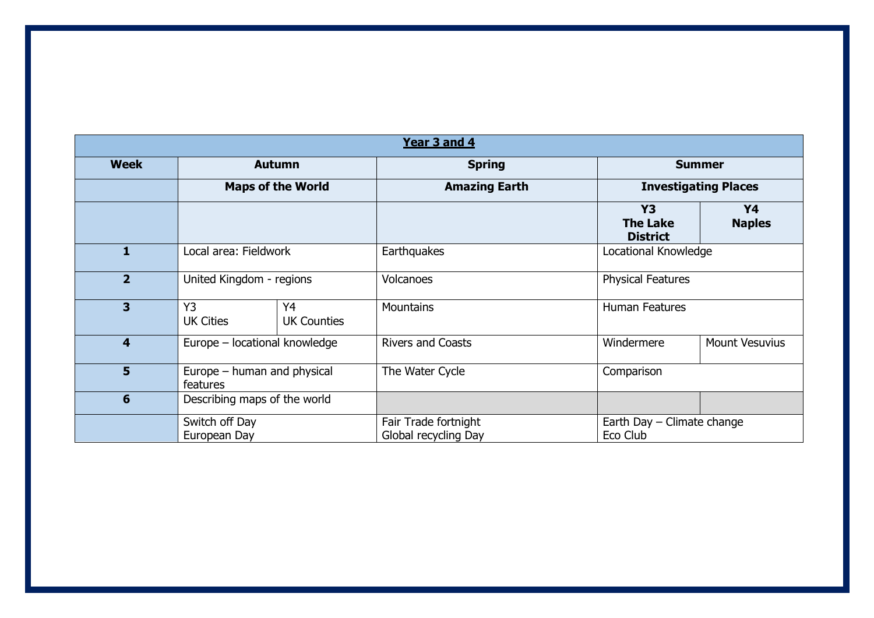| Year 3 and 4     |                                         |                          |                                              |                                                 |                             |  |  |  |  |
|------------------|-----------------------------------------|--------------------------|----------------------------------------------|-------------------------------------------------|-----------------------------|--|--|--|--|
| <b>Week</b>      | <b>Autumn</b>                           |                          | <b>Spring</b>                                |                                                 | <b>Summer</b>               |  |  |  |  |
|                  | <b>Maps of the World</b>                |                          | <b>Amazing Earth</b>                         |                                                 | <b>Investigating Places</b> |  |  |  |  |
|                  |                                         |                          |                                              | <b>Y3</b><br><b>The Lake</b><br><b>District</b> | Y4<br><b>Naples</b>         |  |  |  |  |
| 1                | Local area: Fieldwork                   |                          | Earthquakes                                  |                                                 | Locational Knowledge        |  |  |  |  |
| $\overline{2}$   | United Kingdom - regions                |                          | <b>Volcanoes</b>                             |                                                 | <b>Physical Features</b>    |  |  |  |  |
| 3                | Y <sub>3</sub><br><b>UK Cities</b>      | Y4<br><b>UK Counties</b> | Mountains                                    | <b>Human Features</b>                           |                             |  |  |  |  |
| $\boldsymbol{4}$ | Europe - locational knowledge           |                          | <b>Rivers and Coasts</b>                     | Windermere                                      | <b>Mount Vesuvius</b>       |  |  |  |  |
| 5                | Europe - human and physical<br>features |                          | The Water Cycle                              | Comparison                                      |                             |  |  |  |  |
| 6                | Describing maps of the world            |                          |                                              |                                                 |                             |  |  |  |  |
|                  | Switch off Day<br>European Day          |                          | Fair Trade fortnight<br>Global recycling Day | Earth Day - Climate change<br>Eco Club          |                             |  |  |  |  |